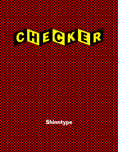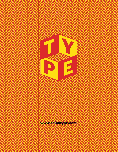**www.shinntype.com**

The Contractor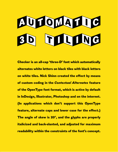## **DELOMATITG** 3D GULUNG

**Checker is an all-cap 'three-D' font which automatically alternates white letters on black tiles with black letters on white tiles. Nick Shinn created the effect by means of custom coding in the** *Contextual Alternates* **feature of the OpenType font format, which is active by default in InDesign, Illustrator, Photoshop and on the internet. (In applications which don't support this OpenType feature, alternate caps and lower case for the effect.) The angle of skew is 20°, and the glyphs are properly italicized and back-slanted, and adjusted for maximum readability within the constraints of the font's concept.**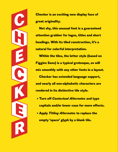**Checker is an exciting new display face of great originality.** 

C

h

**PERSONAL PROPERTY** 

C

K

**CONTROL** 

R

**Not shy, this unusual font is a guaranteed attention grabber for logos, titles and short headings. With its tiled construction, it's a natural for colorful interpretation.** 

**Within the tiles, the letter style (based on Figgins Sans) is a typical grotesque, so will mix smoothly with any other fonts in a layout. Checker has extended language support, and nearly all non-alphabetic characters are rendered in its distinctive tile style.**

- **Turn off** *Contextual Alternates* **and type capitals and/or lower case for more effects.**
- **Apply** *Titling Alternates* **to replace the empty 'space' glyph by a blank tile.**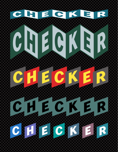## C. R. E. C. R. E. R.

## CHECKER C H E C C C E ROLL CHECKER CHECKER